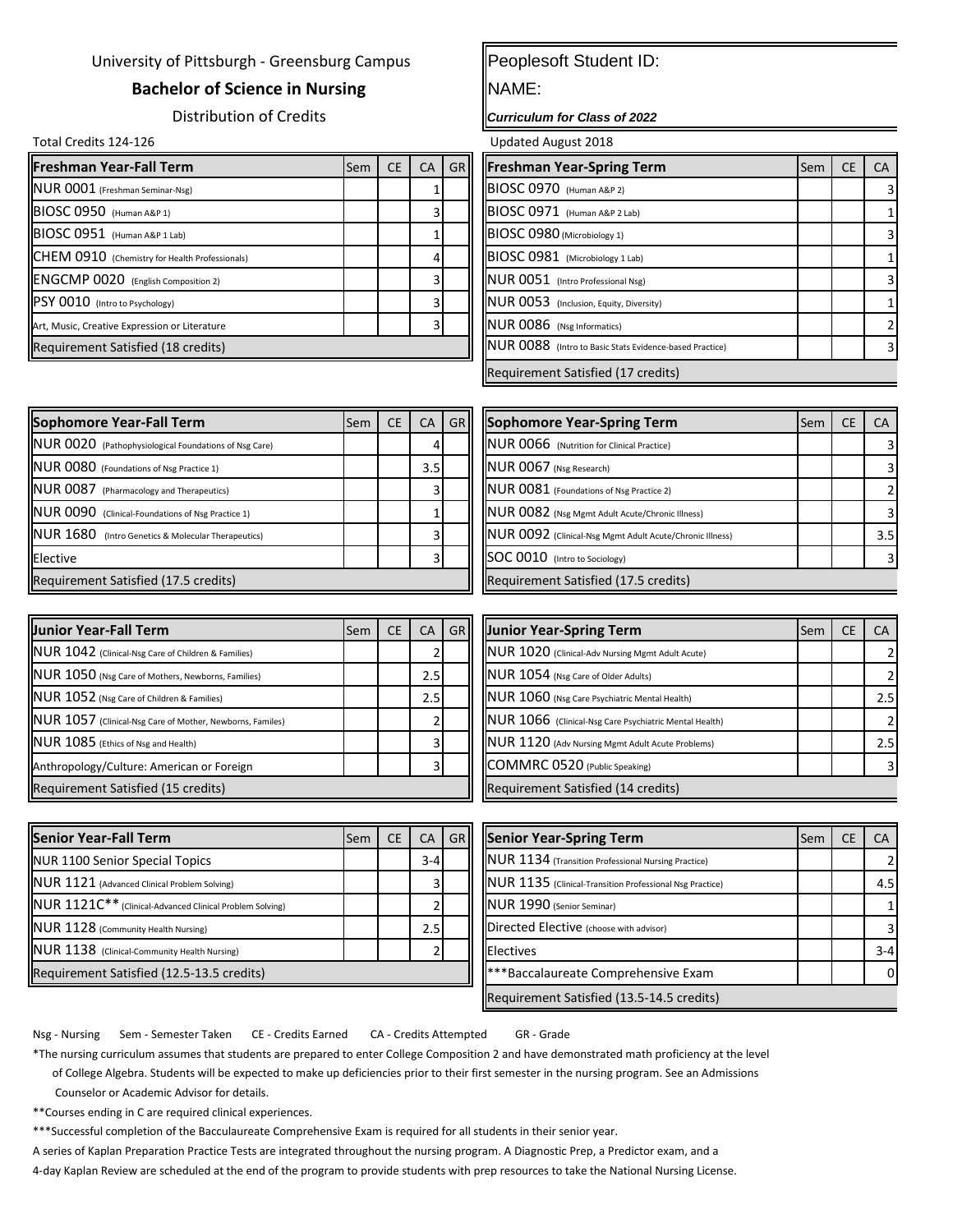## University of Pittsburgh - Greensburg Campus

## **Bachelor of Science in Nursing**

Distribution of Credits

Total Credits 124-126 Updated August 2018

| <b>Freshman Year-Fall Term</b>                 | Sem | <b>CE</b> | CA | GRI | <b>Freshman Year-Spring Term</b>                        | l Sem | <b>CE</b> | <b>CA</b> |
|------------------------------------------------|-----|-----------|----|-----|---------------------------------------------------------|-------|-----------|-----------|
| NUR 0001 (Freshman Seminar-Nsg)                |     |           |    |     | BIOSC 0970 (Human A&P 2)                                |       |           |           |
| BIOSC 0950 (Human A&P 1)                       |     |           |    |     | BIOSC 0971 (Human A&P 2 Lab)                            |       |           |           |
| BIOSC 0951 (Human A&P 1 Lab)                   |     |           |    |     | BIOSC 0980 (Microbiology 1)                             |       |           |           |
| CHEM 0910 (Chemistry for Health Professionals) |     |           |    |     | BIOSC 0981 (Microbiology 1 Lab)                         |       |           |           |
| <b>ENGCMP 0020</b> (English Composition 2)     |     |           |    |     | NUR 0051 (Intro Professional Nsg)                       |       |           |           |
| PSY 0010 (Intro to Psychology)                 |     |           |    |     | <b>NUR 0053</b> (Inclusion, Equity, Diversity)          |       |           |           |
| Art, Music, Creative Expression or Literature  |     |           |    |     | NUR 0086 (Nsg Informatics)                              |       |           |           |
| Requirement Satisfied (18 credits)             |     |           |    |     | NUR 0088 (Intro to Basic Stats Evidence-based Practice) |       |           |           |

## Peoplesoft Student ID:

NAME:

*Curriculum for Class of 2022*

| <b>Freshman Year-Spring Term</b>                        | Sem | <b>CE</b> |  |
|---------------------------------------------------------|-----|-----------|--|
| BIOSC 0970 (Human A&P 2)                                |     |           |  |
| BIOSC 0971 (Human A&P 2 Lab)                            |     |           |  |
| BIOSC 0980 (Microbiology 1)                             |     |           |  |
| BIOSC 0981 (Microbiology 1 Lab)                         |     |           |  |
| NUR 0051 (Intro Professional Nsg)                       |     |           |  |
| INUR 0053 (Inclusion, Equity, Diversity)                |     |           |  |
| NUR 0086 (Nsg Informatics)                              |     |           |  |
| NUR 0088 (Intro to Basic Stats Evidence-based Practice) |     |           |  |
| Requirement Satisfied (17 credits)                      |     |           |  |

| Sophomore Year-Fall Term                              | <b>Sem</b> | <b>CE</b> | CA  |  | GR Sophomore Year-Spring Term                             | <b>Sem</b> | CA.            |
|-------------------------------------------------------|------------|-----------|-----|--|-----------------------------------------------------------|------------|----------------|
| NUR 0020 (Pathophysiological Foundations of Nsg Care) |            |           |     |  | NUR 0066 (Nutrition for Clinical Practice)                |            | $\overline{3}$ |
| NUR 0080 (Foundations of Nsg Practice 1)              |            |           | 3.5 |  | NUR 0067 (Nsg Research)                                   |            | $\overline{3}$ |
| NUR 0087 (Pharmacology and Therapeutics)              |            |           |     |  | NUR 0081 (Foundations of Nsg Practice 2)                  |            |                |
| NUR 0090 (Clinical-Foundations of Nsg Practice 1)     |            |           |     |  | NUR 0082 (Nsg Mgmt Adult Acute/Chronic Illness)           |            | $\overline{3}$ |
| NUR 1680 (Intro Genetics & Molecular Therapeutics)    |            |           |     |  | INUR 0092 (Clinical-Nsg Mgmt Adult Acute/Chronic Illness) |            | 3.5            |
| Elective                                              |            |           |     |  | SOC 0010 (Intro to Sociology)                             |            |                |
| Requirement Satisfied (17.5 credits)                  |            |           |     |  | Requirement Satisfied (17.5 credits)                      |            |                |

| <b>Junior Year-Fall Term</b>                              | Sem | CE. | CA  | GR Junior Year-Spring Term                             | <b>Sem</b> | CA  |
|-----------------------------------------------------------|-----|-----|-----|--------------------------------------------------------|------------|-----|
| NUR 1042 (Clinical-Nsg Care of Children & Families)       |     |     |     | NUR 1020 (Clinical-Adv Nursing Mgmt Adult Acute)       |            |     |
| NUR 1050 (Nsg Care of Mothers, Newborns, Families)        |     |     | 2.5 | NUR 1054 (Nsg Care of Older Adults)                    |            |     |
| NUR 1052 (Nsg Care of Children & Families)                |     |     | 2.5 | NUR 1060 (Nsg Care Psychiatric Mental Health)          |            | 2.5 |
| NUR 1057 (Clinical-Nsg Care of Mother, Newborns, Familes) |     |     |     | NUR 1066 (Clinical-Nsg Care Psychiatric Mental Health) |            |     |
| NUR 1085 (Ethics of Nsg and Health)                       |     |     |     | NUR 1120 (Adv Nursing Mgmt Adult Acute Problems)       |            | 2.5 |
| Anthropology/Culture: American or Foreign                 |     |     |     | COMMRC 0520 (Public Speaking)                          |            |     |
| Requirement Satisfied (15 credits)                        |     |     |     | Requirement Satisfied (14 credits)                     |            |     |

| <b>Junior Year-Spring Term</b>                         | Sem | СE | ΓA  |
|--------------------------------------------------------|-----|----|-----|
| NUR 1020 (Clinical-Adv Nursing Mgmt Adult Acute)       |     |    |     |
| NUR 1054 (Nsg Care of Older Adults)                    |     |    |     |
| NUR 1060 (Nsg Care Psychiatric Mental Health)          |     |    | 2.5 |
| NUR 1066 (Clinical-Nsg Care Psychiatric Mental Health) |     |    |     |
| NUR 1120 (Adv Nursing Mgmt Adult Acute Problems)       |     |    | 2.5 |
| COMMRC 0520 (Public Speaking)                          |     |    |     |
| Requirement Satisfied (14 credits)                     |     |    |     |

| <b>Senior Year-Fall Term</b>                             | <b>Sem</b> | <b>CE</b> | CA      | GR | <b>Senior Year-Spring Term</b>                           | <b>Sem</b> | <b>CE</b> | CA.     |
|----------------------------------------------------------|------------|-----------|---------|----|----------------------------------------------------------|------------|-----------|---------|
| <b>NUR 1100 Senior Special Topics</b>                    |            |           | $3 - 4$ |    | NUR 1134 (Transition Professional Nursing Practice)      |            |           |         |
| NUR 1121 (Advanced Clinical Problem Solving)             |            |           |         |    | NUR 1135 (Clinical-Transition Professional Nsg Practice) |            |           | 4.5     |
| NUR 1121C** (Clinical-Advanced Clinical Problem Solving) |            |           |         |    | NUR 1990 (Senior Seminar)                                |            |           |         |
| NUR 1128 (Community Health Nursing)                      |            |           | 2.5     |    | Directed Elective (choose with advisor)                  |            |           |         |
| NUR 1138 (Clinical-Community Health Nursing)             |            |           |         |    | <b>IElectives</b>                                        |            |           | $3 - 4$ |
| Requirement Satisfied (12.5-13.5 credits)                |            |           |         |    | <b>***Baccalaureate Comprehensive Exam</b>               |            |           |         |
|                                                          |            |           |         |    | $\cdots$                                                 |            |           |         |

| <b>Senior Year-Spring Term</b>                           | Sem | CЕ | ΓA      |
|----------------------------------------------------------|-----|----|---------|
| NUR 1134 (Transition Professional Nursing Practice)      |     |    |         |
| NUR 1135 (Clinical-Transition Professional Nsg Practice) |     |    | 4.5     |
| NUR 1990 (Senior Seminar)                                |     |    |         |
| Directed Elective (choose with advisor)                  |     |    |         |
| <b>IElectives</b>                                        |     |    | $3 - 4$ |
| <b>***Baccalaureate Comprehensive Exam</b>               |     |    |         |
| Requirement Satisfied (13.5-14.5 credits)                |     |    |         |

Nsg - Nursing Sem - Semester Taken CE - Credits Earned CA - Credits Attempted GR - Grade

\*The nursing curriculum assumes that students are prepared to enter College Composition 2 and have demonstrated math proficiency at the level

 of College Algebra. Students will be expected to make up deficiencies prior to their first semester in the nursing program. See an Admissions Counselor or Academic Advisor for details.

\*\*Courses ending in C are required clinical experiences.

\*\*\*Successful completion of the Bacculaureate Comprehensive Exam is required for all students in their senior year.

A series of Kaplan Preparation Practice Tests are integrated throughout the nursing program. A Diagnostic Prep, a Predictor exam, and a

4-day Kaplan Review are scheduled at the end of the program to provide students with prep resources to take the National Nursing License.